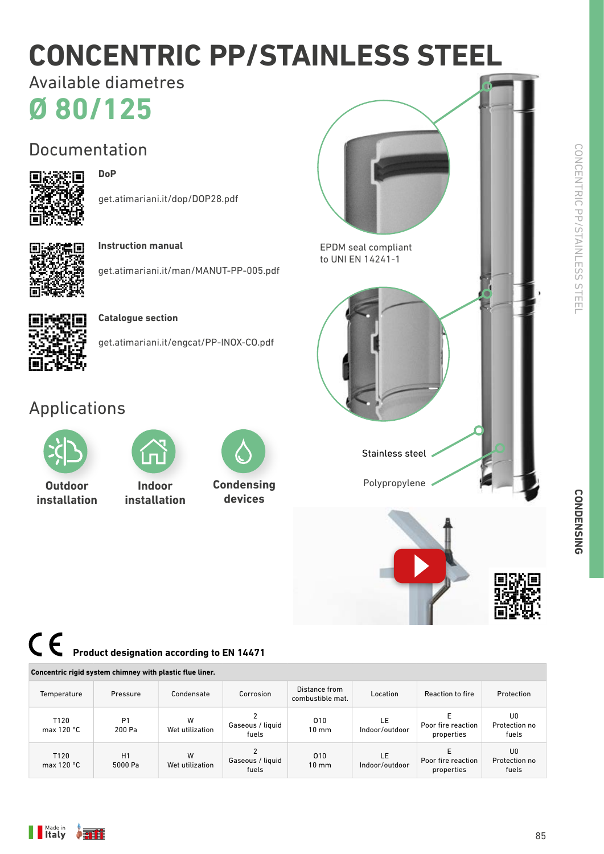# **CONCENTRIC PP/STAINLESS STEEL**

**Ø 80/125** Available diametres

## Documentation



#### **DoP**

get.atimariani.it/dop/DOP28.pdf



**Instruction manual**

get.atimariani.it/man/MANUT-PP-005.pdf



#### **Catalogue section**

get.atimariani.it/engcat/PP-INOX-CO.pdf

### Applications



**Outdoor installation**



**Indoor installation**



**Condensing devices**



CONCENTRIC PP/STAINLESS STEEL

## **Product designation according to EN 14471**

|                                  | Concentric rigid system chimney with plastic flue liner. |                      |                           |                                   |                       |                                  |                              |
|----------------------------------|----------------------------------------------------------|----------------------|---------------------------|-----------------------------------|-----------------------|----------------------------------|------------------------------|
| Temperature                      | Pressure                                                 | Condensate           | Corrosion                 | Distance from<br>combustible mat. | Location              | Reaction to fire                 | Protection                   |
| T120<br>max $120 °C$             | P <sub>1</sub><br>200 Pa                                 | W<br>Wet utilization | Gaseous / liquid<br>fuels | 010<br>$10 \, \text{mm}$          | LE.<br>Indoor/outdoor | Poor fire reaction<br>properties | U0<br>Protection no<br>fuels |
| T <sub>120</sub><br>max $120 °C$ | H1<br>5000 Pa                                            | W<br>Wet utilization | Gaseous / liquid<br>fuels | 010<br>$10 \text{ mm}$            | LE.<br>Indoor/outdoor | Poor fire reaction<br>properties | U0<br>Protection no<br>fuels |

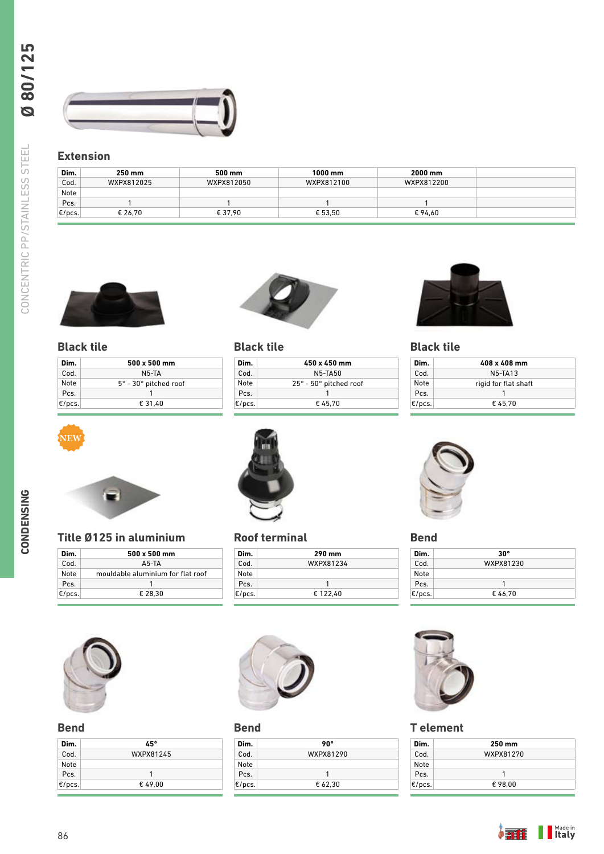

#### **Extension**

| Dim.      | 250 mm     | 500 mm     | 1000 mm    | 2000 mm    |
|-----------|------------|------------|------------|------------|
| Cod.      | WXPX812025 | WXPX812050 | WXPX812100 | WXPX812200 |
| Note      |            |            |            |            |
| Pcs.      |            |            |            |            |
| $E/pcs$ . | € 26.70    | € 37.90    | € 53.50    | €94.60     |



#### **Black tile**

**NEW**

| Dim.      | $500 \times 500$ mm                  |
|-----------|--------------------------------------|
| Cod.      | N5-TA                                |
| Note      | $5^\circ$ - 30 $^\circ$ pitched roof |
| Pcs.      |                                      |
| $E/pcs$ . | € 31.40                              |



#### **Black tile**

| Dim.      | $450 \times 450$ mm                      |
|-----------|------------------------------------------|
| Cod.      | <b>N5-TA50</b>                           |
| Note      | $25^{\circ}$ - $50^{\circ}$ pitched roof |
| Pcs.      |                                          |
| $E/pc$ s. | €45.70                                   |



#### **Black tile**

| Dim.      | 408 x 408 mm         |
|-----------|----------------------|
| Cod.      | <b>N5-TA13</b>       |
| Note      | rigid for flat shaft |
| Pcs.      |                      |
| $E/pc$ s. | €45.70               |





#### **Title Ø125 in aluminium**

| Dim.      | $500 \times 500$ mm               |  |
|-----------|-----------------------------------|--|
| Cod.      | A5-TA                             |  |
| Note      | mouldable aluminium for flat roof |  |
| Pcs.      |                                   |  |
| $E/pc$ s. | € 28.30                           |  |
|           |                                   |  |



#### **Bend**

| Dim.      | 45°       |  |
|-----------|-----------|--|
| Cod.      | WXPX81245 |  |
| Note      |           |  |
| Pcs.      |           |  |
| $E/pc$ s. | €49.00    |  |



#### **Roof terminal**

| Dim.      | 290 mm    |
|-----------|-----------|
| Cod.      | WXPX81234 |
| Note      |           |
| Pcs.      |           |
| $E/pcs$ . | € 122.40  |



#### **Bend**

| Dim.      | 90°       |  |
|-----------|-----------|--|
| Cod.      | WXPX81290 |  |
| Note      |           |  |
| Pcs.      | 1         |  |
| $E/pcs$ . | € 62.30   |  |



#### **Bend**

| Dim.      | $30^\circ$ |
|-----------|------------|
| Cod.      | WXPX81230  |
| Note      |            |
| Pcs.      |            |
| $E/pc$ s. | €46.70     |



#### **T element**

| Dim.      | 250 mm    |
|-----------|-----------|
| Cod.      | WXPX81270 |
| Note      |           |
| Pcs.      | 1         |
| $E/pcs$ . | €98.00    |